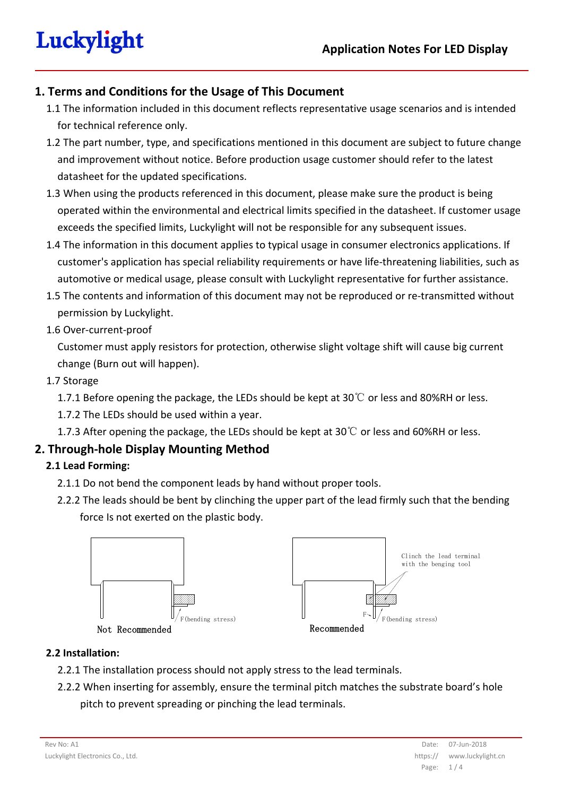## **1. Terms and Conditions for the Usage of This Document**

- 1.1 The information included in this document reflects representative usage scenarios and is intended for technical reference only.
- 1.2 The part number, type, and specifications mentioned in this document are subject to future change and improvement without notice. Before production usage customer should refer to the latest datasheet for the updated specifications.
- 1.3 When using the products referenced in this document, please make sure the product is being operated within the environmental and electrical limits specified in the datasheet. If customer usage exceeds the specified limits, Luckylight will not be responsible for any subsequent issues.
- 1.4 The information in this document applies to typical usage in consumer electronics applications. If customer's application has special reliability requirements or have life-threatening liabilities, such as automotive or medical usage, please consult with Luckylight representative for further assistance.
- 1.5 The contents and information of this document may not be reproduced or re-transmitted without permission by Luckylight.
- 1.6 Over-current-proof

Customer must apply resistors for protection, otherwise slight voltage shift will cause big current change (Burn out will happen).

1.7 Storage

1.7.1 Before opening the package, the LEDs should be kept at 30°C or less and 80%RH or less.

1.7.2 The LEDs should be used within a year.

1.7.3 After opening the package, the LEDs should be kept at 30  $\degree$  or less and 60%RH or less.

## **2. Through-hole Display Mounting Method**

### **2.1 Lead Forming:**

- 2.1.1 Do not bend the component leads by hand without proper tools.
- 2.2.2 The leads should be bent by clinching the upper part of the lead firmly such that the bending force Is not exerted on the plastic body.



### **2.2 Installation:**

- 2.2.1 The installation process should not apply stress to the lead terminals.
- 2.2.2 When inserting for assembly, ensure the terminal pitch matches the substrate board's hole pitch to prevent spreading or pinching the lead terminals.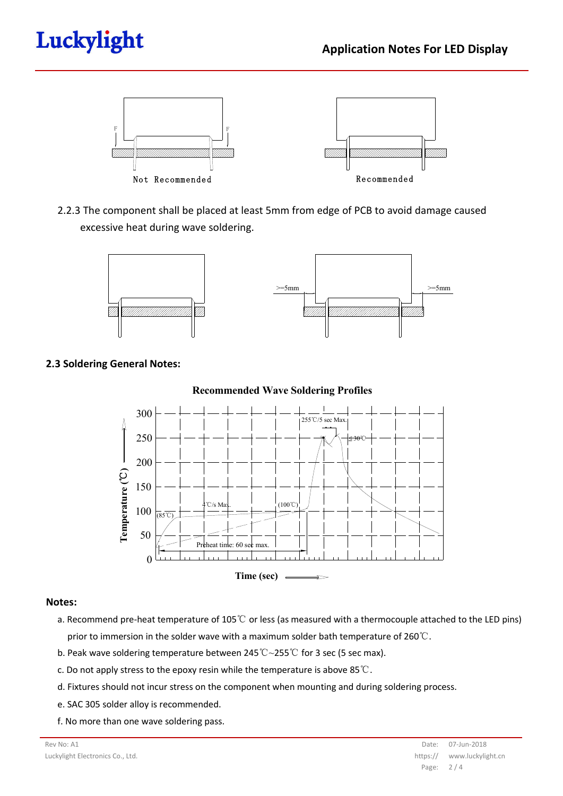# Luckylight



2.2.3 The component shall be placed at least 5mm from edge of PCB to avoid damage caused excessive heat during wave soldering.



### **2.3 Soldering General Notes:**



#### **Notes:**

- a. Recommend pre-heat temperature of 105℃ or less (as measured with a thermocouple attached to the LED pins) prior to immersion in the solder wave with a maximum solder bath temperature of  $260^{\circ}\text{C}$ .
- b. Peak wave soldering temperature between 245℃~255℃ for 3 sec (5 sec max).
- c. Do not apply stress to the epoxy resin while the temperature is above 85℃.
- d. Fixtures should not incur stress on the component when mounting and during soldering process.
- e. SAC 305 solder alloy is recommended.
- f. No more than one wave soldering pass.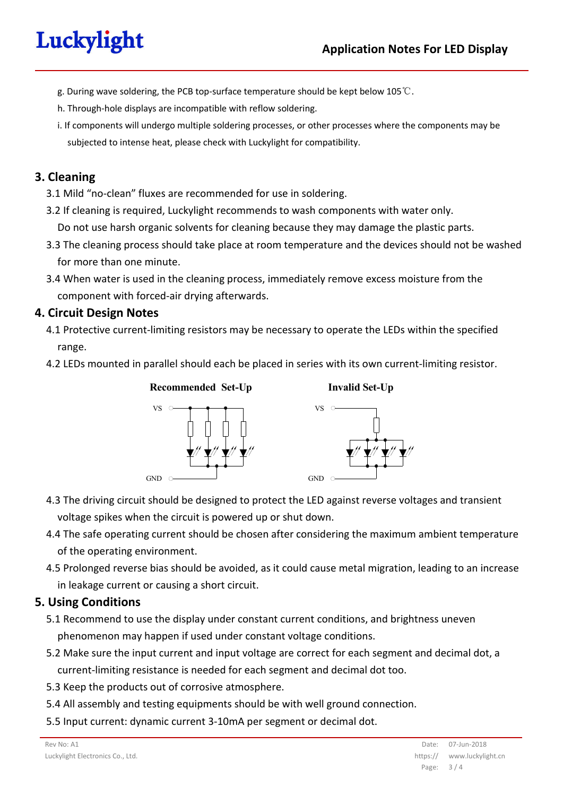# Luckylight

- g. During wave soldering, the PCB top-surface temperature should be kept below 105℃.
- h. Through-hole displays are incompatible with reflow soldering.
- i. If components will undergo multiple soldering processes, or other processes where the components may be subjected to intense heat, please check with Luckylight for compatibility.

## **3. Cleaning**

- 3.1 Mild "no-clean" fluxes are recommended for use in soldering.
- 3.2 If cleaning is required, Luckylight recommends to wash components with water only.

Do not use harsh organic solvents for cleaning because they may damage the plastic parts.

- 3.3 The cleaning process should take place at room temperature and the devices should not be washed for more than one minute.
- 3.4 When water is used in the cleaning process, immediately remove excess moisture from the component with forced-air drying afterwards.

## **4. Circuit Design Notes**

- 4.1 Protective current-limiting resistors may be necessary to operate the LEDs within the specified range.
- 4.2 LEDs mounted in parallel should each be placed in series with its own current-limiting resistor.





**Invalid Set-Up**

- 4.3 The driving circuit should be designed to protect the LED against reverse voltages and transient voltage spikes when the circuit is powered up or shut down.
- 4.4 The safe operating current should be chosen after considering the maximum ambient temperature of the operating environment.
- 4.5 Prolonged reverse bias should be avoided, as it could cause metal migration, leading to an increase in leakage current or causing a short circuit.

## **5. Using Conditions**

- 5.1 Recommend to use the display under constant current conditions, and brightness uneven phenomenon may happen if used under constant voltage conditions.
- 5.2 Make sure the input current and input voltage are correct for each segment and decimal dot, a current-limiting resistance is needed for each segment and decimal dot too.
- 5.3 Keep the products out of corrosive atmosphere.
- 5.4 All assembly and testing equipments should be with well ground connection.
- 5.5 Input current: dynamic current 3-10mA per segment or decimal dot.